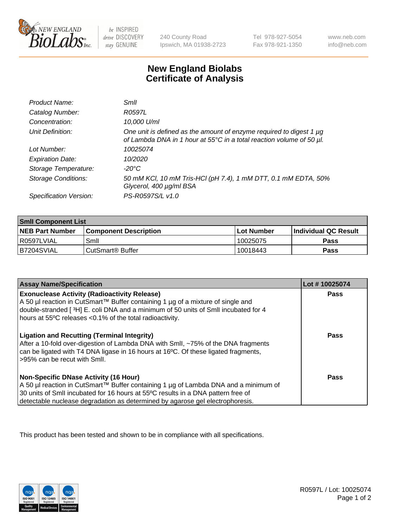

 $be$  INSPIRED drive DISCOVERY stay GENUINE

240 County Road Ipswich, MA 01938-2723 Tel 978-927-5054 Fax 978-921-1350 www.neb.com info@neb.com

## **New England Biolabs Certificate of Analysis**

| Product Name:              | Smil                                                                                                                                             |
|----------------------------|--------------------------------------------------------------------------------------------------------------------------------------------------|
| Catalog Number:            | R0597L                                                                                                                                           |
| Concentration:             | 10,000 U/ml                                                                                                                                      |
| Unit Definition:           | One unit is defined as the amount of enzyme required to digest 1 $\mu$ g<br>of Lambda DNA in 1 hour at 55°C in a total reaction volume of 50 µl. |
| Lot Number:                | 10025074                                                                                                                                         |
| <b>Expiration Date:</b>    | 10/2020                                                                                                                                          |
| Storage Temperature:       | -20°C                                                                                                                                            |
| <b>Storage Conditions:</b> | 50 mM KCl, 10 mM Tris-HCl (pH 7.4), 1 mM DTT, 0.1 mM EDTA, 50%<br>Glycerol, 400 µg/ml BSA                                                        |
| Specification Version:     | PS-R0597S/L v1.0                                                                                                                                 |

| <b>Smil Component List</b> |                              |             |                             |  |
|----------------------------|------------------------------|-------------|-----------------------------|--|
| <b>NEB Part Number</b>     | <b>Component Description</b> | ⊺Lot Number | <b>Individual QC Result</b> |  |
| l R0597LVIAL               | Smil                         | 10025075    | Pass                        |  |
| B7204SVIAL                 | l CutSmart® Buffer           | 10018443    | Pass                        |  |

| <b>Assay Name/Specification</b>                                                                                                                                                                                                                                                                          | Lot #10025074 |
|----------------------------------------------------------------------------------------------------------------------------------------------------------------------------------------------------------------------------------------------------------------------------------------------------------|---------------|
| <b>Exonuclease Activity (Radioactivity Release)</b><br>A 50 µl reaction in CutSmart™ Buffer containing 1 µg of a mixture of single and<br>double-stranded [3H] E. coli DNA and a minimum of 50 units of SmII incubated for 4<br>hours at 55°C releases <0.1% of the total radioactivity.                 | Pass          |
| <b>Ligation and Recutting (Terminal Integrity)</b><br>After a 10-fold over-digestion of Lambda DNA with Smll, ~75% of the DNA fragments<br>can be ligated with T4 DNA ligase in 16 hours at 16 <sup>o</sup> C. Of these ligated fragments,<br>>95% can be recut with Smll.                               | Pass          |
| <b>Non-Specific DNase Activity (16 Hour)</b><br>A 50 µl reaction in CutSmart™ Buffer containing 1 µg of Lambda DNA and a minimum of<br>30 units of SmII incubated for 16 hours at 55°C results in a DNA pattern free of<br>detectable nuclease degradation as determined by agarose gel electrophoresis. | Pass          |

This product has been tested and shown to be in compliance with all specifications.